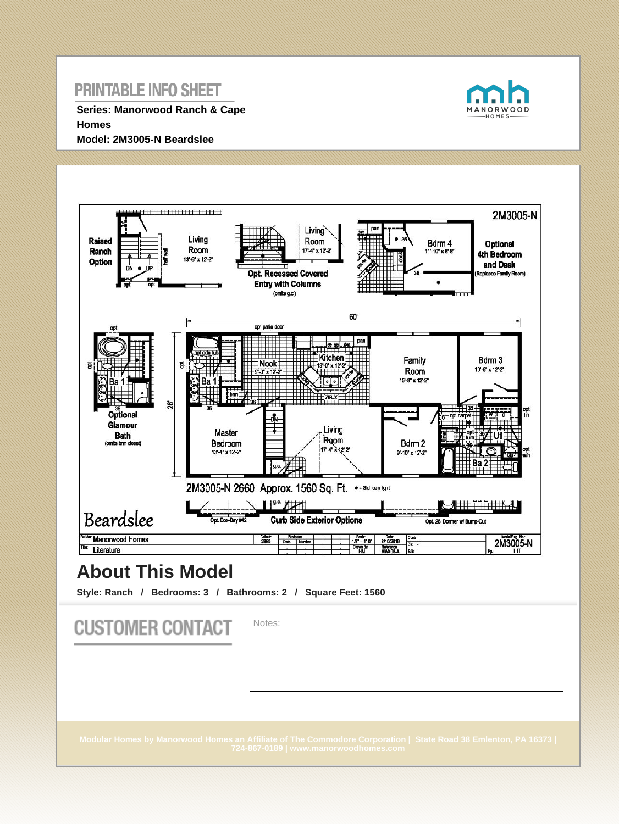**Series: Manorwood Ranch & Cape Homes Model: 2M3005-N Beardslee**





# **About This Model**

**Style: Ranch / Bedrooms: 3 / Bathrooms: 2 / Square Feet: 1560**

| <b>CUSTOMER CONTACT</b> | Notes:                                                                                                                                                   |
|-------------------------|----------------------------------------------------------------------------------------------------------------------------------------------------------|
|                         |                                                                                                                                                          |
|                         |                                                                                                                                                          |
|                         | Modular Homes by Manorwood Homes an Affiliate of The Commodore Corporation   State Road 38 Emlenton, PA 16373  <br>724-867-0189   www.manorwoodhomes.com |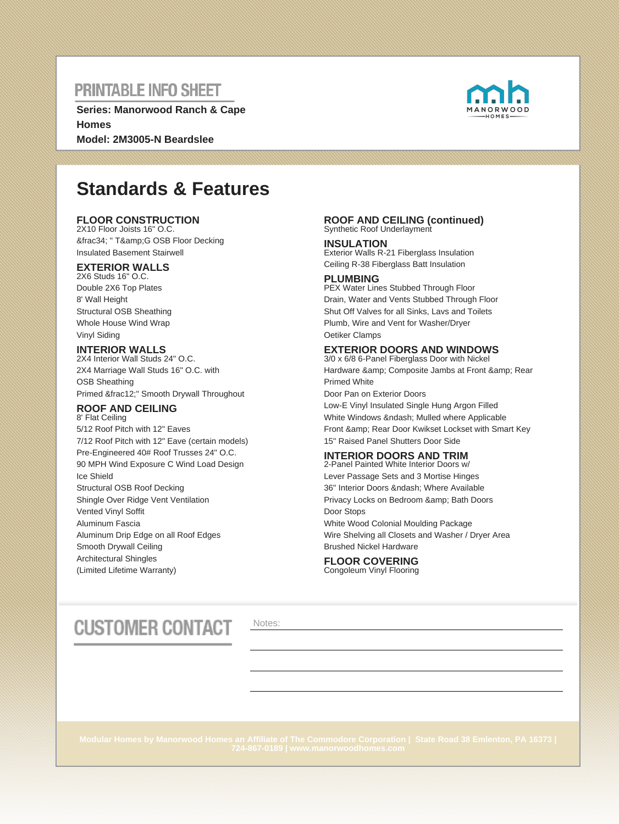**Series: Manorwood Ranch & Cape Homes Model: 2M3005-N Beardslee**



# **Standards & Features**

### **FLOOR CONSTRUCTION**

2X10 Floor Joists 16" O.C. ¾ " T&G OSB Floor Decking Insulated Basement Stairwell

### **EXTERIOR WALLS**

2X6 Studs 16" O.C. Double 2X6 Top Plates 8' Wall Height Structural OSB Sheathing Whole House Wind Wrap Vinyl Siding

### **INTERIOR WALLS**

2X4 Interior Wall Studs 24" O.C. 2X4 Marriage Wall Studs 16" O.C. with OSB Sheathing Primed ½" Smooth Drywall Throughout

#### **ROOF AND CEILING** 8' Flat Ceiling

5/12 Roof Pitch with 12" Eaves 7/12 Roof Pitch with 12" Eave (certain models) Pre-Engineered 40# Roof Trusses 24" O.C. 90 MPH Wind Exposure C Wind Load Design Ice Shield Structural OSB Roof Decking Shingle Over Ridge Vent Ventilation Vented Vinyl Soffit Aluminum Fascia Aluminum Drip Edge on all Roof Edges Smooth Drywall Ceiling Architectural Shingles (Limited Lifetime Warranty)

#### **ROOF AND CEILING (continued)** Synthetic Roof Underlayment

**INSULATION** Exterior Walls R-21 Fiberglass Insulation Ceiling R-38 Fiberglass Batt Insulation

### **PLUMBING**

PEX Water Lines Stubbed Through Floor Drain, Water and Vents Stubbed Through Floor Shut Off Valves for all Sinks, Lavs and Toilets Plumb, Wire and Vent for Washer/Dryer Oetiker Clamps

### **EXTERIOR DOORS AND WINDOWS**

3/0 x 6/8 6-Panel Fiberglass Door with Nickel Hardware & amp; Composite Jambs at Front & amp; Rear Primed White Door Pan on Exterior Doors Low-E Vinyl Insulated Single Hung Argon Filled White Windows & ndash; Mulled where Applicable Front & amp: Rear Door Kwikset Lockset with Smart Key

15" Raised Panel Shutters Door Side

### **INTERIOR DOORS AND TRIM**

2-Panel Painted White Interior Doors w/ Lever Passage Sets and 3 Mortise Hinges 36" Interior Doors – Where Available Privacy Locks on Bedroom & amp; Bath Doors Door Stops White Wood Colonial Moulding Package Wire Shelving all Closets and Washer / Dryer Area Brushed Nickel Hardware

#### **FLOOR COVERING** Congoleum Vinyl Flooring

# **CUSTOMER CONTACT**

Notes: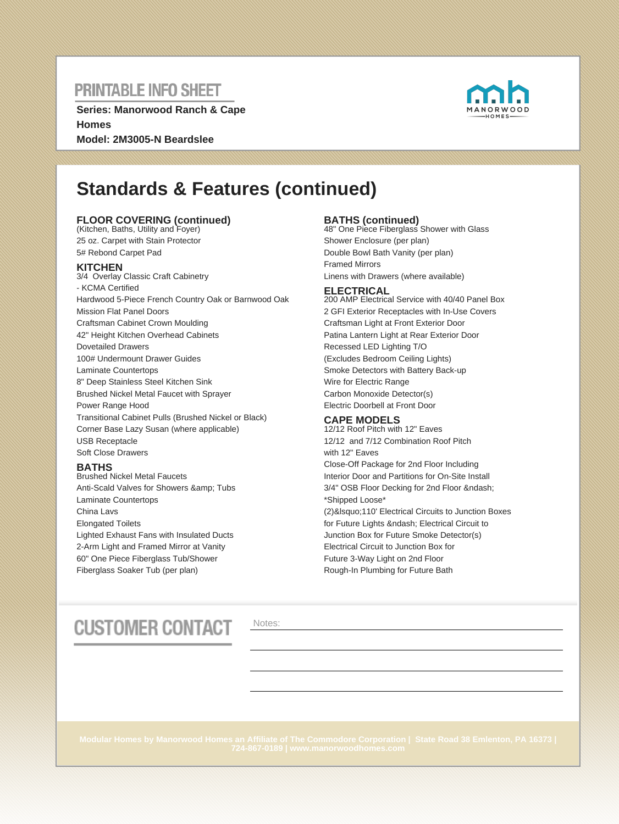**Series: Manorwood Ranch & Cape Homes Model: 2M3005-N Beardslee**



# **Standards & Features (continued)**

### **FLOOR COVERING (continued)** (Kitchen, Baths, Utility and Foyer)

25 oz. Carpet with Stain Protector 5# Rebond Carpet Pad

### **KITCHEN**

3/4 Overlay Classic Craft Cabinetry - KCMA Certified Hardwood 5-Piece French Country Oak or Barnwood Oak Mission Flat Panel Doors Craftsman Cabinet Crown Moulding 42" Height Kitchen Overhead Cabinets Dovetailed Drawers 100# Undermount Drawer Guides Laminate Countertops 8" Deep Stainless Steel Kitchen Sink Brushed Nickel Metal Faucet with Sprayer Power Range Hood Transitional Cabinet Pulls (Brushed Nickel or Black) Corner Base Lazy Susan (where applicable) USB Receptacle Soft Close Drawers

### **BATHS**

Brushed Nickel Metal Faucets Anti-Scald Valves for Showers & amp; Tubs Laminate Countertops China Lavs Elongated Toilets Lighted Exhaust Fans with Insulated Ducts 2-Arm Light and Framed Mirror at Vanity 60" One Piece Fiberglass Tub/Shower Fiberglass Soaker Tub (per plan)

**BATHS (continued)** 48" One Piece Fiberglass Shower with Glass Shower Enclosure (per plan) Double Bowl Bath Vanity (per plan) Framed Mirrors Linens with Drawers (where available)

#### **ELECTRICAL**

200 AMP Electrical Service with 40/40 Panel Box 2 GFI Exterior Receptacles with In-Use Covers Craftsman Light at Front Exterior Door Patina Lantern Light at Rear Exterior Door Recessed LED Lighting T/O (Excludes Bedroom Ceiling Lights) Smoke Detectors with Battery Back-up Wire for Electric Range Carbon Monoxide Detector(s) Electric Doorbell at Front Door

### **CAPE MODELS**

12/12 Roof Pitch with 12" Eaves 12/12 and 7/12 Combination Roof Pitch with 12" Eaves Close-Off Package for 2nd Floor Including Interior Door and Partitions for On-Site Install 3/4" OSB Floor Decking for 2nd Floor – \*Shipped Loose\* (2)&Isquo;110' Electrical Circuits to Junction Boxes for Future Lights – Electrical Circuit to Junction Box for Future Smoke Detector(s) Electrical Circuit to Junction Box for Future 3-Way Light on 2nd Floor Rough-In Plumbing for Future Bath

# **CUSTOMER CONTACT**

Notes: